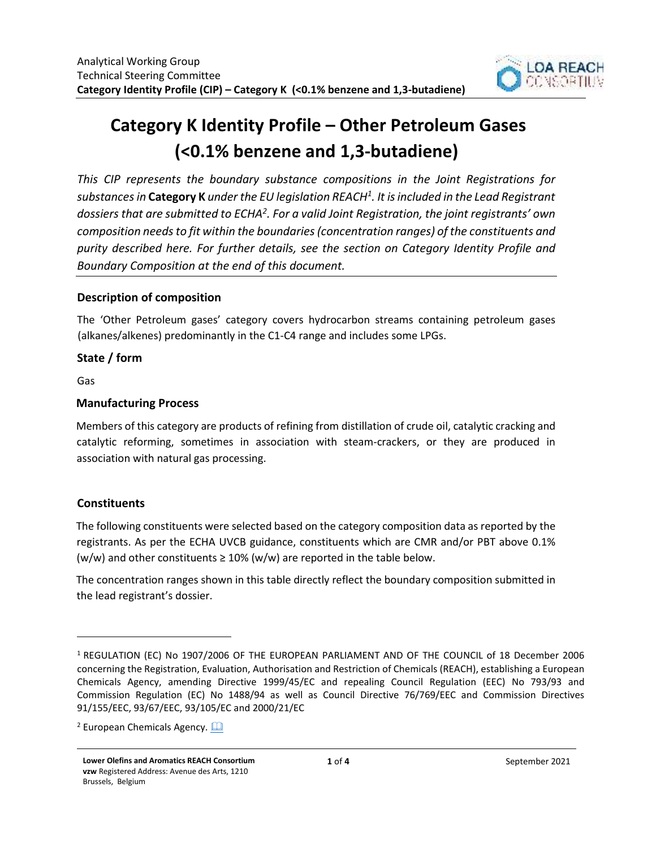

# **Category K Identity Profile – Other Petroleum Gases (<0.1% benzene and 1,3-butadiene)**

*This CIP represents the boundary substance compositions in the Joint Registrations for substances in* **Category K** *under the EU legislation REACH<sup>1</sup> . It is included in the Lead Registrant dossiers that are submitted to ECHA<sup>2</sup> . For a valid Joint Registration, the joint registrants' own composition needs to fit within the boundaries (concentration ranges) of the constituents and purity described here. For further details, see the section on Category Identity Profile and Boundary Composition at the end of this document.* 

## **Description of composition**

The 'Other Petroleum gases' category covers hydrocarbon streams containing petroleum gases (alkanes/alkenes) predominantly in the C1-C4 range and includes some LPGs.

# **State / form**

Gas

# **Manufacturing Process**

Members of this category are products of refining from distillation of crude oil, catalytic cracking and catalytic reforming, sometimes in association with steam-crackers, or they are produced in association with natural gas processing.

# **Constituents**

The following constituents were selected based on the category composition data as reported by the registrants. As per the ECHA UVCB guidance, constituents which are CMR and/or PBT above 0.1% (w/w) and other constituents  $\geq 10\%$  (w/w) are reported in the table below.

The concentration ranges shown in this table directly reflect the boundary composition submitted in the lead registrant's dossier.

<sup>1</sup> REGULATION (EC) No 1907/2006 OF THE EUROPEAN PARLIAMENT AND OF THE COUNCIL of 18 December 2006 concerning the Registration, Evaluation, Authorisation and Restriction of Chemicals (REACH), establishing a European Chemicals Agency, amending Directive 1999/45/EC and repealing Council Regulation (EEC) No 793/93 and Commission Regulation (EC) No 1488/94 as well as Council Directive 76/769/EEC and Commission Directives 91/155/EEC, 93/67/EEC, 93/105/EC and 2000/21/EC

<sup>&</sup>lt;sup>2</sup> European Chemicals Agency. **Quare**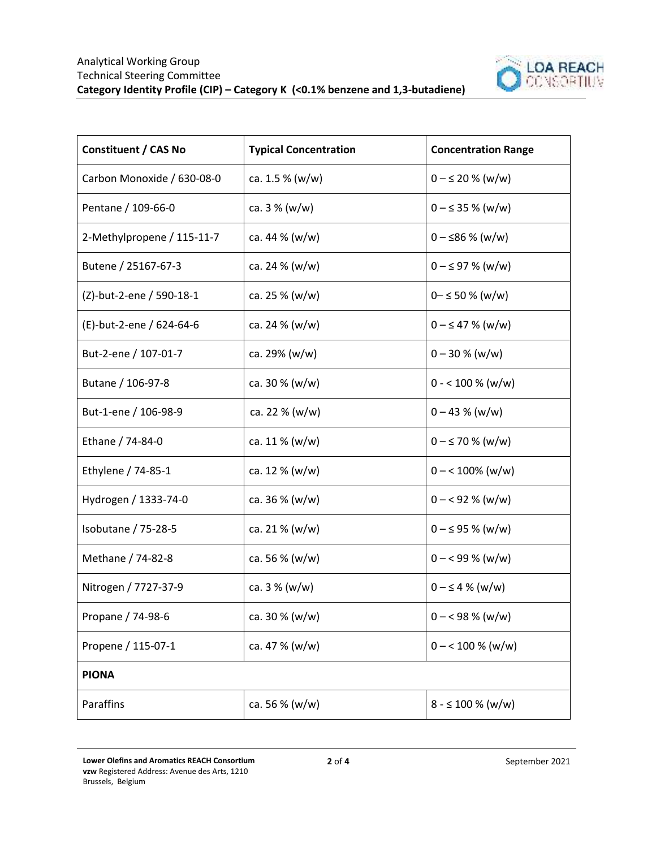

| <b>Constituent / CAS No</b> | <b>Typical Concentration</b> | <b>Concentration Range</b> |
|-----------------------------|------------------------------|----------------------------|
| Carbon Monoxide / 630-08-0  | ca. 1.5 % (w/w)              | $0 - \leq 20 \%$ (w/w)     |
| Pentane / 109-66-0          | ca. $3\%$ (w/w)              | $0 - \leq 35 \%$ (w/w)     |
| 2-Methylpropene / 115-11-7  | ca. 44 $% (w/w)$             | $0 - $86 \%$ (w/w)         |
| Butene / 25167-67-3         | ca. 24 $% (w/w)$             | $0 - \leq 97$ % (w/w)      |
| (Z)-but-2-ene / 590-18-1    | ca. 25 % (w/w)               | $0 - \le 50 \%$ (w/w)      |
| (E)-but-2-ene / 624-64-6    | ca. 24 $% (w/w)$             | $0 - \leq 47 \%$ (w/w)     |
| But-2-ene / 107-01-7        | ca. 29% (w/w)                | $0 - 30 % (w/w)$           |
| Butane / 106-97-8           | ca. $30\%$ (w/w)             | $0 - 100 %$ (w/w)          |
| But-1-ene / 106-98-9        | ca. 22 % (w/w)               | $0 - 43 % (w/w)$           |
| Ethane / 74-84-0            | ca. $11\%$ (w/w)             | $0 - \le 70$ % (w/w)       |
| Ethylene / 74-85-1          | ca. 12 % (w/w)               | $0 - 100\%$ (w/w)          |
| Hydrogen / 1333-74-0        | ca. $36\%$ (w/w)             | $0 - 92 % (w/w)$           |
| Isobutane / 75-28-5         | ca. 21 % (w/w)               | $0 - \leq 95$ % (w/w)      |
| Methane / 74-82-8           | ca. 56 $% (w/w)$             | $0 - 99\%$ (w/w)           |
| Nitrogen / 7727-37-9        | ca. $3\%$ (w/w)              | $0 - \leq 4$ % (w/w)       |
| Propane / 74-98-6           | ca. $30\%$ (w/w)             | $0 - 98 % (w/w)$           |
| Propene / 115-07-1          | ca. 47 % (w/w)               | $0 - 100 %$ (w/w)          |
| <b>PIONA</b>                |                              |                            |
| Paraffins                   | ca. 56 % (w/w)               | $8 - 5100 %$ (w/w)         |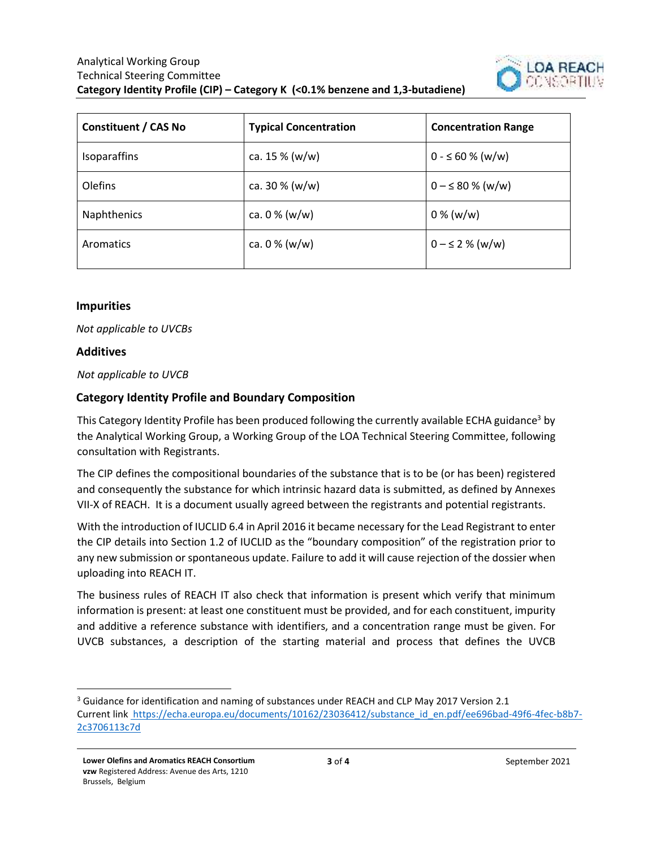

| <b>Constituent / CAS No</b> | <b>Typical Concentration</b> | <b>Concentration Range</b> |
|-----------------------------|------------------------------|----------------------------|
| <b>Isoparaffins</b>         | ca. $15\%$ (w/w)             | $0 - 60 % (w/w)$           |
| Olefins                     | ca. $30\%$ (w/w)             | $0 - \le 80 \%$ (w/w)      |
| Naphthenics                 | ca. $0\%$ (w/w)              | $0\%$ (w/w)                |
| Aromatics                   | ca. $0\%$ (w/w)              | $0 - \leq 2$ % (w/w)       |

### **Impurities**

*Not applicable to UVCBs*

#### **Additives**

*Not applicable to UVCB* 

## **Category Identity Profile and Boundary Composition**

This Category Identity Profile has been produced following the currently available ECHA guidance<sup>3</sup> by the Analytical Working Group, a Working Group of the LOA Technical Steering Committee, following consultation with Registrants.

The CIP defines the compositional boundaries of the substance that is to be (or has been) registered and consequently the substance for which intrinsic hazard data is submitted, as defined by Annexes VII-X of REACH. It is a document usually agreed between the registrants and potential registrants.

With the introduction of IUCLID 6.4 in April 2016 it became necessary for the Lead Registrant to enter the CIP details into Section 1.2 of IUCLID as the "boundary composition" of the registration prior to any new submission or spontaneous update. Failure to add it will cause rejection of the dossier when uploading into REACH IT.

The business rules of REACH IT also check that information is present which verify that minimum information is present: at least one constituent must be provided, and for each constituent, impurity and additive a reference substance with identifiers, and a concentration range must be given. For UVCB substances, a description of the starting material and process that defines the UVCB

<sup>&</sup>lt;sup>3</sup> Guidance for identification and naming of substances under REACH and CLP May 2017 Version 2.1 Current link https://echa.europa.eu/documents/10162/23036412/substance\_id\_en.pdf/ee696bad-49f6-4fec-b8b7-2c3706113c7d